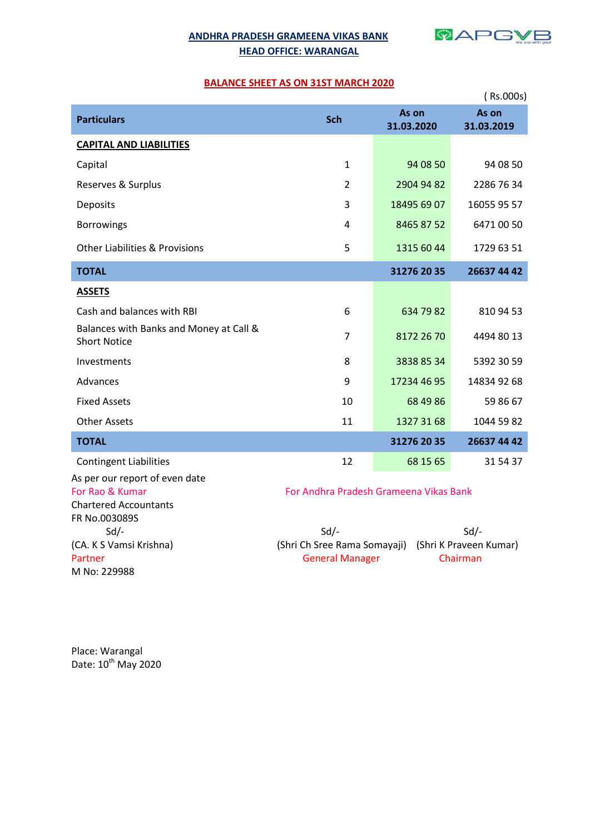# **ANDHRA PRADESH GRAMEENA VIKAS BANK HEAD OFFICE: WARANGAL**



## **BALANCE SHEET AS ON 31ST MARCH 2020**

|                                                                                                                                              |                |                     | (Rs.000s)           |  |
|----------------------------------------------------------------------------------------------------------------------------------------------|----------------|---------------------|---------------------|--|
| <b>Particulars</b>                                                                                                                           | Sch            | As on<br>31.03.2020 | As on<br>31.03.2019 |  |
| <b>CAPITAL AND LIABILITIES</b>                                                                                                               |                |                     |                     |  |
| Capital                                                                                                                                      | $\mathbf{1}$   | 94 08 50            | 94 08 50            |  |
| Reserves & Surplus                                                                                                                           | $\overline{2}$ | 2904 94 82          | 2286 76 34          |  |
| Deposits                                                                                                                                     | 3              | 18495 69 07         | 16055 95 57         |  |
| <b>Borrowings</b>                                                                                                                            | $\overline{4}$ | 8465 87 52          | 6471 00 50          |  |
| <b>Other Liabilities &amp; Provisions</b>                                                                                                    | 5              | 1315 60 44          | 1729 63 51          |  |
| <b>TOTAL</b>                                                                                                                                 |                | 31276 20 35         | 26637 44 42         |  |
| <b>ASSETS</b>                                                                                                                                |                |                     |                     |  |
| Cash and balances with RBI                                                                                                                   | 6              | 634 79 82           | 810 94 53           |  |
| Balances with Banks and Money at Call &<br><b>Short Notice</b>                                                                               | $\overline{7}$ | 8172 26 70          | 4494 80 13          |  |
| Investments                                                                                                                                  | 8              | 3838 85 34          | 5392 30 59          |  |
| Advances                                                                                                                                     | 9              | 17234 46 95         | 14834 92 68         |  |
| <b>Fixed Assets</b>                                                                                                                          | 10             | 68 49 86            | 59 86 67            |  |
| <b>Other Assets</b>                                                                                                                          | 11             | 1327 31 68          | 1044 59 82          |  |
| <b>TOTAL</b>                                                                                                                                 |                | 31276 20 35         | 26637 44 42         |  |
| <b>Contingent Liabilities</b>                                                                                                                | 12             | 68 15 65            | 31 54 37            |  |
| As per our report of even date<br>For Rao & Kumar<br>For Andhra Pradesh Grameena Vikas Bank<br><b>Chartered Accountants</b><br>FR No.003089S |                |                     |                     |  |

M No: 229988

 Sd/- Sd/- Sd/- (CA. K S Vamsi Krishna) (Shri Ch Sree Rama Somayaji) (Shri K Praveen Kumar) Partner Chairman Chairman Chairman Chairman Chairman

Place: Warangal Date: 10<sup>th</sup> May 2020